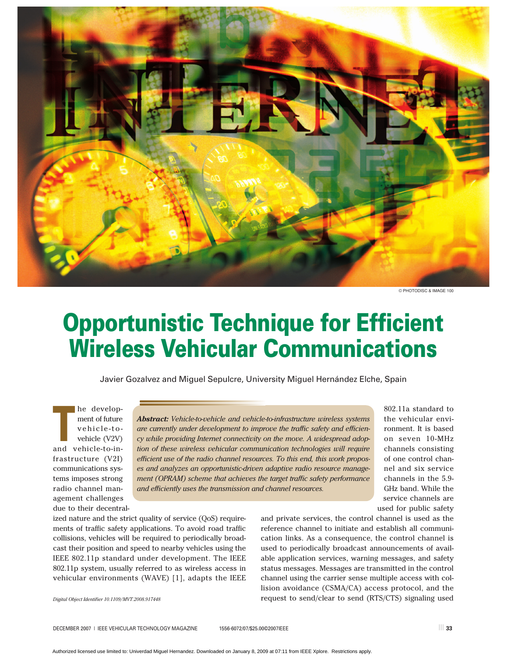

© PHOTODISC & IMAGE 100

# **Opportunistic Technique for Efficient Wireless Vehicular Communications**

Javier Gozalvez and Miguel Sepulcre, University Miguel Hernández Elche, Spain

**The develop-**<br> **The develop-**<br> **The vehicle (V2V)**<br> **The vehicle (V2V)**<br> **The develop**ment of future vehicle-toand vehicle-to-infrastructure (V2I) communications systems imposes strong radio channel management challenges due to their decentral-

*Abstract: Vehicle-to-vehicle and vehicle-to-infrastructure wireless systems are currently under development to improve the traffic safety and efficiency while providing Internet connectivity on the move. A widespread adoption of these wireless vehicular communication technologies will require efficient use of the radio channel resources. To this end, this work proposes and analyzes an opportunistic-driven adaptive radio resource management (OPRAM) scheme that achieves the target traffic safety performance and efficiently uses the transmission and channel resources.*

802.11a standard to the vehicular environment. It is based on seven 10-MHz channels consisting of one control channel and six service channels in the 5.9- GHz band. While the service channels are used for public safety

ized nature and the strict quality of service (QoS) requirements of traffic safety applications. To avoid road traffic collisions, vehicles will be required to periodically broadcast their position and speed to nearby vehicles using the IEEE 802.11p standard under development. The IEEE 802.11p system, usually referred to as wireless access in vehicular environments (WAVE) [1], adapts the IEEE and private services, the control channel is used as the reference channel to initiate and establish all communication links. As a consequence, the control channel is used to periodically broadcast announcements of available application services, warning messages, and safety status messages. Messages are transmitted in the control channel using the carrier sense multiple access with collision avoidance (CSMA/CA) access protocol, and the request to send/clear to send (RTS/CTS) signaling used

*Digital Object Identifier 10.1109/MVT.2008.917448*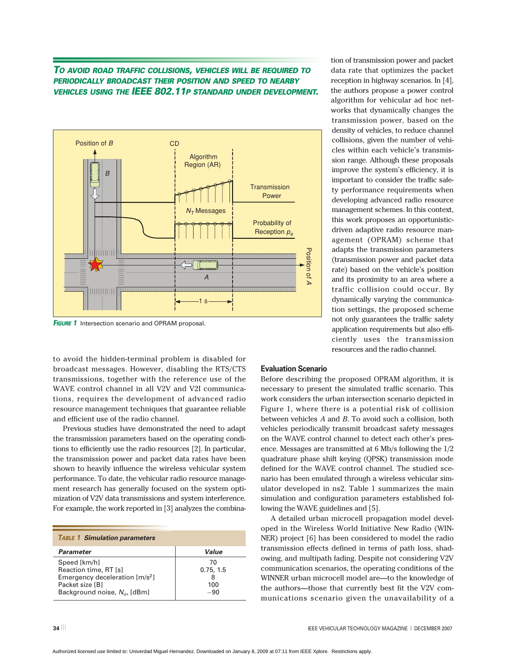## *TO AVOID ROAD TRAFFIC COLLISIONS, VEHICLES WILL BE REQUIRED TO PERIODICALLY BROADCAST THEIR POSITION AND SPEED TO NEARBY VEHICLES USING THE IEEE 802.11P STANDARD UNDER DEVELOPMENT.*



**FIGURE 1** Intersection scenario and OPRAM proposal.

to avoid the hidden-terminal problem is disabled for broadcast messages. However, disabling the RTS/CTS transmissions, together with the reference use of the WAVE control channel in all V2V and V2I communications, requires the development of advanced radio resource management techniques that guarantee reliable and efficient use of the radio channel.

Previous studies have demonstrated the need to adapt the transmission parameters based on the operating conditions to efficiently use the radio resources [2]. In particular, the transmission power and packet data rates have been shown to heavily influence the wireless vehicular system performance. To date, the vehicular radio resource management research has generally focused on the system optimization of V2V data transmissions and system interference. For example, the work reported in [3] analyzes the combina-

| <b>TABLE 1 Simulation parameters</b>                                                                                            |                                 |
|---------------------------------------------------------------------------------------------------------------------------------|---------------------------------|
| Parameter                                                                                                                       | Value                           |
| Speed [km/h]<br>Reaction time, RT [s]<br>Emergency deceleration $[m/s^2]$<br>Packet size [B]<br>Background noise, $N_o$ , [dBm] | 70<br>0.75, 1.5<br>100<br>$-90$ |

reception in highway scenarios. In [4], the authors propose a power control algorithm for vehicular ad hoc networks that dynamically changes the transmission power, based on the density of vehicles, to reduce channel collisions, given the number of vehicles within each vehicle's transmission range. Although these proposals improve the system's efficiency, it is important to consider the traffic safety performance requirements when developing advanced radio resource management schemes. In this context, this work proposes an opportunisticdriven adaptive radio resource management (OPRAM) scheme that adapts the transmission parameters (transmission power and packet data rate) based on the vehicle's position and its proximity to an area where a traffic collision could occur. By dynamically varying the communication settings, the proposed scheme not only guarantees the traffic safety application requirements but also efficiently uses the transmission resources and the radio channel.

tion of transmission power and packet data rate that optimizes the packet

### **Evaluation Scenario**

Before describing the proposed OPRAM algorithm, it is necessary to present the simulated traffic scenario. This work considers the urban intersection scenario depicted in Figure 1, where there is a potential risk of collision between vehicles *A* and *B*. To avoid such a collision, both vehicles periodically transmit broadcast safety messages on the WAVE control channel to detect each other's presence. Messages are transmitted at 6 Mb/s following the 1/2 quadrature phase shift keying (QPSK) transmission mode defined for the WAVE control channel. The studied scenario has been emulated through a wireless vehicular simulator developed in ns2. Table 1 summarizes the main simulation and configuration parameters established following the WAVE guidelines and [5].

A detailed urban microcell propagation model developed in the Wireless World Initiative New Radio (WIN-NER) project [6] has been considered to model the radio transmission effects defined in terms of path loss, shadowing, and multipath fading. Despite not considering V2V communication scenarios, the operating conditions of the WINNER urban microcell model are—to the knowledge of the authors—those that currently best fit the V2V communications scenario given the unavailability of a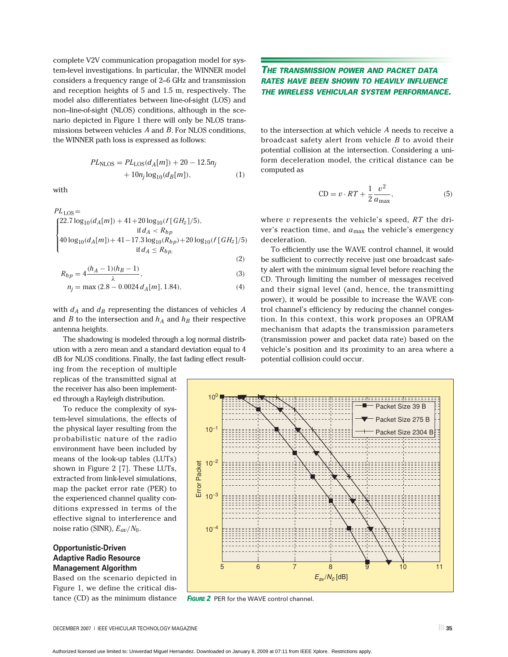complete V2V communication propagation model for system-level investigations. In particular, the WINNER model considers a frequency range of 2–6 GHz and transmission and reception heights of 5 and 1.5 m, respectively. The model also differentiates between line-of-sight (LOS) and non–line-of-sight (NLOS) conditions, although in the scenario depicted in Figure 1 there will only be NLOS transmissions between vehicles *A* and *B*. For NLOS conditions, the WINNER path loss is expressed as follows:

$$
PLNLOS = PLLOS(dA[m]) + 20 - 12.5nj+ 10nj log10(dB[m]),
$$
 (1)

with

$$
PL_{\text{LOS}} = \n\begin{cases}\n22.7 \log_{10}(d_A[m]) + 41 + 20 \log_{10}(f[GH_z]/5), \\
\text{if } d_A < R_{bp} \\
40 \log_{10}(d_A[m]) + 41 - 17.3 \log_{10}(R_{bp}) + 20 \log_{10}(f[GH_z]/5), \\
\text{if } d_A \le R_{bp},\n\end{cases}
$$

$$
R_{1} = 4\frac{(h_{A} - 1)(h_{B} - 1)}{(3)}
$$
 (2)

$$
R_{bp} = 4 \frac{\lambda^{(1)}(1 - \lambda)^{(1)}(1 - \lambda)}{\lambda},\tag{3}
$$

$$
n_j = \max(2.8 - 0.0024 d_A[m], 1.84),\tag{4}
$$

with  $d_A$  and  $d_B$  representing the distances of vehicles  $A$ and *B* to the intersection and  $h_A$  and  $h_B$  their respective antenna heights.

The shadowing is modeled through a log normal distribution with a zero mean and a standard deviation equal to 4 dB for NLOS conditions. Finally, the fast fading effect result-

ing from the reception of multiple replicas of the transmitted signal at the receiver has also been implemented through a Rayleigh distribution.

To reduce the complexity of system-level simulations, the effects of the physical layer resulting from the probabilistic nature of the radio environment have been included by means of the look-up tables (LUTs) shown in Figure 2 [7]. These LUTs, extracted from link-level simulations, map the packet error rate (PER) to the experienced channel quality conditions expressed in terms of the effective signal to interference and noise ratio (SINR), *Eav*/*N*0.

## **Opportunistic-Driven Adaptive Radio Resource Management Algorithm**

Based on the scenario depicted in Figure 1, we define the critical distance (CD) as the minimum distance

## *THE TRANSMISSION POWER AND PACKET DATA RATES HAVE BEEN SHOWN TO HEAVILY INFLUENCE THE WIRELESS VEHICULAR SYSTEM PERFORMANCE.*

to the intersection at which vehicle *A* needs to receive a broadcast safety alert from vehicle *B* to avoid their potential collision at the intersection. Considering a uniform deceleration model, the critical distance can be computed as

$$
CD = v \cdot RT + \frac{1}{2} \frac{v^2}{a_{\text{max}}},\tag{5}
$$

where *v* represents the vehicle's speed, *RT* the driver's reaction time, and  $a_{\text{max}}$  the vehicle's emergency deceleration.

To efficiently use the WAVE control channel, it would be sufficient to correctly receive just one broadcast safety alert with the minimum signal level before reaching the CD. Through limiting the number of messages received and their signal level (and, hence, the transmitting power), it would be possible to increase the WAVE control channel's efficiency by reducing the channel congestion. In this context, this work proposes an OPRAM mechanism that adapts the transmission parameters (transmission power and packet data rate) based on the vehicle's position and its proximity to an area where a potential collision could occur.



**FIGURE 2** PER for the WAVE control channel.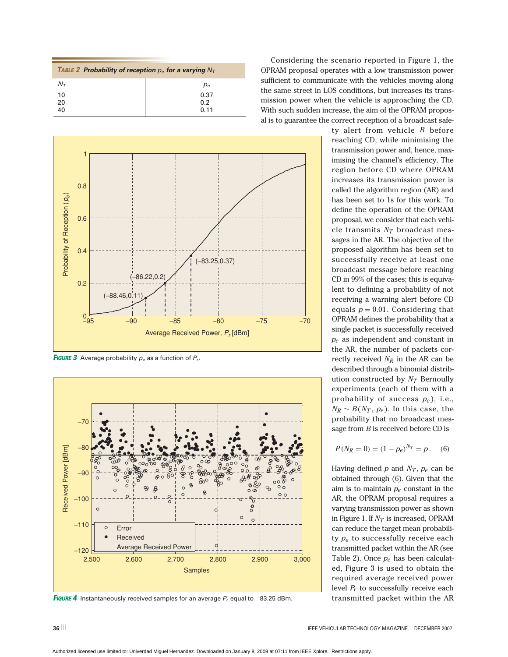| TABLE 2 Probability of reception $p_e$ for a varying $N_T$ |       |
|------------------------------------------------------------|-------|
| $N_{\tau}$                                                 | $p_e$ |
| 10                                                         | 0.37  |
| 20                                                         | 0.2   |
| 40                                                         | 0.11  |



*FIGURE 3* Average probability *pe* as a function of *Pr*.



*FIGURE 4* Instantaneously received samples for an average *Pr* equal to −83.25 dBm.

Considering the scenario reported in Figure 1, the OPRAM proposal operates with a low transmission power sufficient to communicate with the vehicles moving along the same street in LOS conditions, but increases its transmission power when the vehicle is approaching the CD. With such sudden increase, the aim of the OPRAM proposal is to guarantee the correct reception of a broadcast safe-

> ty alert from vehicle *B* before reaching CD, while minimising the transmission power and, hence, maximising the channel's efficiency. The region before CD where OPRAM increases its transmission power is called the algorithm region (AR) and has been set to 1s for this work. To define the operation of the OPRAM proposal, we consider that each vehicle transmits  $N_T$  broadcast messages in the AR. The objective of the proposed algorithm has been set to successfully receive at least one broadcast message before reaching CD in 99% of the cases; this is equivalent to defining a probability of not receiving a warning alert before CD equals  $p = 0.01$ . Considering that OPRAM defines the probability that a single packet is successfully received *pe* as independent and constant in the AR, the number of packets correctly received  $N_R$  in the AR can be described through a binomial distribution constructed by  $N_T$  Bernoully experiments (each of them with a probability of success *pe* ), i.e.,  $N_R \sim B(N_T, p_e)$ . In this case, the probability that no broadcast message from *B* is received before CD is

$$
P(N_R = 0) = (1 - p_e)^{N_T} = p. \quad (6)
$$

Having defined  $p$  and  $N_T$ ,  $p_e$  can be obtained through (6). Given that the aim is to maintain *pe* constant in the AR, the OPRAM proposal requires a varying transmission power as shown in Figure 1. If  $N_T$  is increased, OPRAM can reduce the target mean probability *pe* to successfully receive each transmitted packet within the AR (see Table 2). Once *pe* has been calculated, Figure 3 is used to obtain the required average received power level *Pr* to successfully receive each transmitted packet within the AR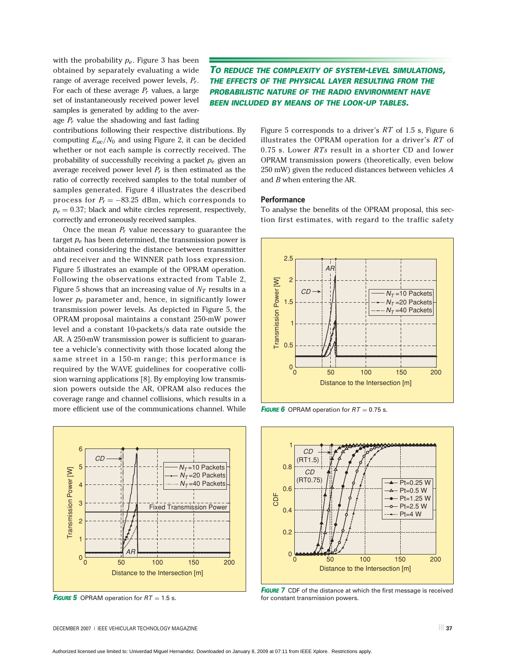with the probability *pe*. Figure 3 has been obtained by separately evaluating a wide range of average received power levels, *Pr*. For each of these average *Pr* values, a large set of instantaneously received power level samples is generated by adding to the average *Pr* value the shadowing and fast fading

*TO REDUCE THE COMPLEXITY OF SYSTEM-LEVEL SIMULATIONS, THE EFFECTS OF THE PHYSICAL LAYER RESULTING FROM THE PROBABILISTIC NATURE OF THE RADIO ENVIRONMENT HAVE BEEN INCLUDED BY MEANS OF THE LOOK-UP TABLES.*

contributions following their respective distributions. By computing  $E_{av}/N_0$  and using Figure 2, it can be decided whether or not each sample is correctly received. The probability of successfully receiving a packet *pe* given an average received power level  $P_r$  is then estimated as the ratio of correctly received samples to the total number of samples generated. Figure 4 illustrates the described process for  $P_r = -83.25$  dBm, which corresponds to  $p_e = 0.37$ ; black and white circles represent, respectively, correctly and erroneously received samples.

Once the mean *Pr* value necessary to guarantee the target *pe* has been determined, the transmission power is obtained considering the distance between transmitter and receiver and the WINNER path loss expression. Figure 5 illustrates an example of the OPRAM operation. Following the observations extracted from Table 2, Figure 5 shows that an increasing value of  $N_T$  results in a lower *pe* parameter and, hence, in significantly lower transmission power levels. As depicted in Figure 5, the OPRAM proposal maintains a constant 250-mW power level and a constant 10-packets/s data rate outside the AR. A 250-mW transmission power is sufficient to guarantee a vehicle's connectivity with those located along the same street in a 150-m range; this performance is required by the WAVE guidelines for cooperative collision warning applications [8]. By employing low transmission powers outside the AR, OPRAM also reduces the coverage range and channel collisions, which results in a more efficient use of the communications channel. While



**FIGURE 5** OPRAM operation for  $RT = 1.5$  s.

Figure 5 corresponds to a driver's *RT* of 1.5 s, Figure 6 illustrates the OPRAM operation for a driver's *RT* of 0.75 s. Lower *RTs* result in a shorter CD and lower OPRAM transmission powers (theoretically, even below 250 mW) given the reduced distances between vehicles *A* and *B* when entering the AR.

#### **Performance**

To analyse the benefits of the OPRAM proposal, this section first estimates, with regard to the traffic safety



*FIGURE* 6 OPRAM operation for  $RT = 0.75$  s.



**FIGURE** 7 CDF of the distance at which the first message is received for constant transmission powers.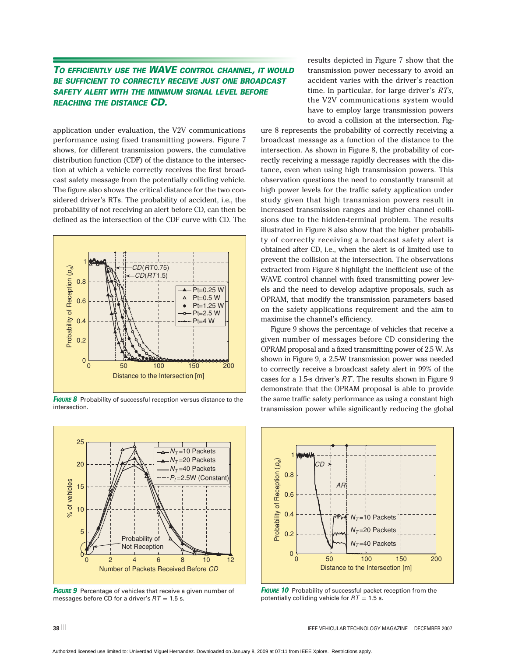## *TO EFFICIENTLY USE THE WAVE CONTROL CHANNEL, IT WOULD BE SUFFICIENT TO CORRECTLY RECEIVE JUST ONE BROADCAST SAFETY ALERT WITH THE MINIMUM SIGNAL LEVEL BEFORE REACHING THE DISTANCE CD.*

application under evaluation, the V2V communications performance using fixed transmitting powers. Figure 7 shows, for different transmission powers, the cumulative distribution function (CDF) of the distance to the intersection at which a vehicle correctly receives the first broadcast safety message from the potentially colliding vehicle. The figure also shows the critical distance for the two considered driver's RTs. The probability of accident, i.e., the probability of not receiving an alert before CD, can then be defined as the intersection of the CDF curve with CD. The



*FIGURE 8* Probability of successful reception versus distance to the intersection.



**FIGURE 9** Percentage of vehicles that receive a given number of messages before CD for a driver's  $RT = 1.5$  s.

results depicted in Figure 7 show that the transmission power necessary to avoid an accident varies with the driver's reaction time. In particular, for large driver's *RTs*, the V2V communications system would have to employ large transmission powers to avoid a collision at the intersection. Fig-

ure 8 represents the probability of correctly receiving a broadcast message as a function of the distance to the intersection. As shown in Figure 8, the probability of correctly receiving a message rapidly decreases with the distance, even when using high transmission powers. This observation questions the need to constantly transmit at high power levels for the traffic safety application under study given that high transmission powers result in increased transmission ranges and higher channel collisions due to the hidden-terminal problem. The results illustrated in Figure 8 also show that the higher probability of correctly receiving a broadcast safety alert is obtained after CD, i.e., when the alert is of limited use to prevent the collision at the intersection. The observations extracted from Figure 8 highlight the inefficient use of the WAVE control channel with fixed transmitting power levels and the need to develop adaptive proposals, such as OPRAM, that modify the transmission parameters based on the safety applications requirement and the aim to maximise the channel's efficiency.

Figure 9 shows the percentage of vehicles that receive a given number of messages before CD considering the OPRAM proposal and a fixed transmitting power of 2.5 W. As shown in Figure 9, a 2.5-W transmission power was needed to correctly receive a broadcast safety alert in 99% of the cases for a 1.5-s driver's *RT*. The results shown in Figure 9 demonstrate that the OPRAM proposal is able to provide the same traffic safety performance as using a constant high transmission power while significantly reducing the global



**FIGURE 10** Probability of successful packet reception from the potentially colliding vehicle for  $RT = 1.5$  s.